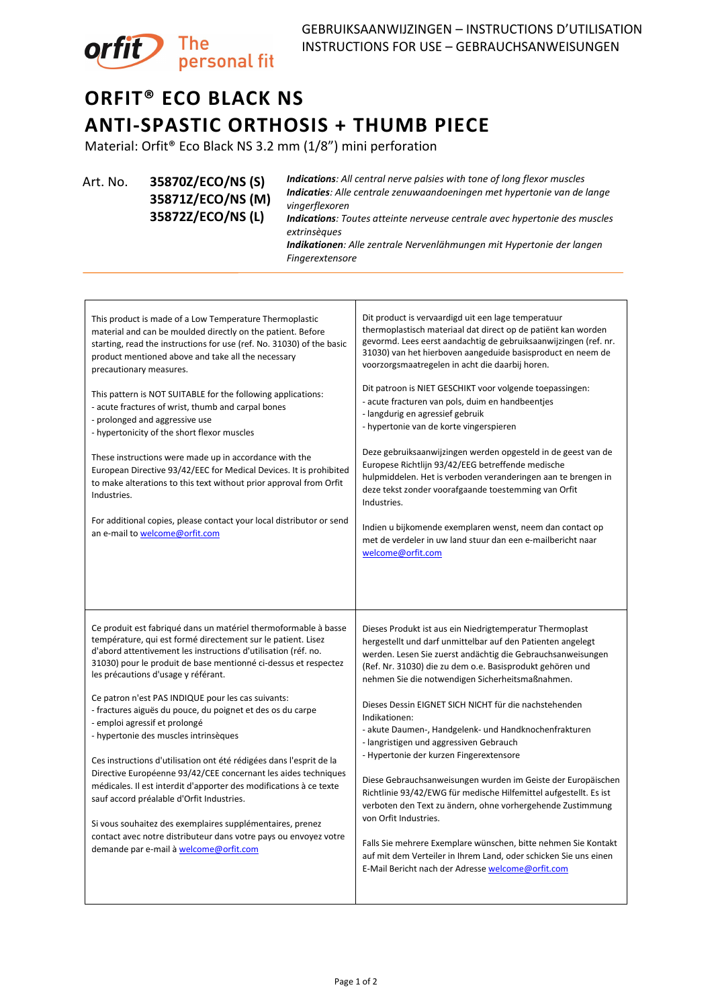

## **ORFIT® ECO BLACK NS ANTI-SPASTIC ORTHOSIS + THUMB PIECE**

Material: Orfit® Eco Black NS 3.2 mm (1/8") mini perforation

Art. No. **35870Z/ECO/NS (S) 35871Z/ECO/NS (M) 35872Z/ECO/NS (L)**

*Indications: All central nerve palsies with tone of long flexor muscles Indicaties: Alle centrale zenuwaandoeningen met hypertonie van de lange vingerflexoren*

*Indications: Toutes atteinte nerveuse centrale avec hypertonie des muscles extrinsèques*

*Indikationen: Alle zentrale Nervenlähmungen mit Hypertonie der langen Fingerextensore*

| This product is made of a Low Temperature Thermoplastic<br>material and can be moulded directly on the patient. Before<br>starting, read the instructions for use (ref. No. 31030) of the basic<br>product mentioned above and take all the necessary<br>precautionary measures.                                                                                                                                                                                                                                                                                                                                                                                                                                                                                                                                                                                                                                                                        | Dit product is vervaardigd uit een lage temperatuur<br>thermoplastisch materiaal dat direct op de patiënt kan worden<br>gevormd. Lees eerst aandachtig de gebruiksaanwijzingen (ref. nr.<br>31030) van het hierboven aangeduide basisproduct en neem de<br>voorzorgsmaatregelen in acht die daarbij horen.                                                                                                                                                                                                                                                                                                                                                                                                                                                                                                                                                                                                                                              |
|---------------------------------------------------------------------------------------------------------------------------------------------------------------------------------------------------------------------------------------------------------------------------------------------------------------------------------------------------------------------------------------------------------------------------------------------------------------------------------------------------------------------------------------------------------------------------------------------------------------------------------------------------------------------------------------------------------------------------------------------------------------------------------------------------------------------------------------------------------------------------------------------------------------------------------------------------------|---------------------------------------------------------------------------------------------------------------------------------------------------------------------------------------------------------------------------------------------------------------------------------------------------------------------------------------------------------------------------------------------------------------------------------------------------------------------------------------------------------------------------------------------------------------------------------------------------------------------------------------------------------------------------------------------------------------------------------------------------------------------------------------------------------------------------------------------------------------------------------------------------------------------------------------------------------|
| This pattern is NOT SUITABLE for the following applications:<br>- acute fractures of wrist, thumb and carpal bones<br>- prolonged and aggressive use<br>- hypertonicity of the short flexor muscles<br>These instructions were made up in accordance with the<br>European Directive 93/42/EEC for Medical Devices. It is prohibited<br>to make alterations to this text without prior approval from Orfit<br>Industries.<br>For additional copies, please contact your local distributor or send<br>an e-mail to welcome@orfit.com                                                                                                                                                                                                                                                                                                                                                                                                                      | Dit patroon is NIET GESCHIKT voor volgende toepassingen:<br>- acute fracturen van pols, duim en handbeentjes<br>- langdurig en agressief gebruik<br>- hypertonie van de korte vingerspieren<br>Deze gebruiksaanwijzingen werden opgesteld in de geest van de<br>Europese Richtlijn 93/42/EEG betreffende medische<br>hulpmiddelen. Het is verboden veranderingen aan te brengen in<br>deze tekst zonder voorafgaande toestemming van Orfit<br>Industries.<br>Indien u bijkomende exemplaren wenst, neem dan contact op<br>met de verdeler in uw land stuur dan een e-mailbericht naar<br>welcome@orfit.com                                                                                                                                                                                                                                                                                                                                              |
| Ce produit est fabriqué dans un matériel thermoformable à basse<br>température, qui est formé directement sur le patient. Lisez<br>d'abord attentivement les instructions d'utilisation (réf. no.<br>31030) pour le produit de base mentionné ci-dessus et respectez<br>les précautions d'usage y référant.<br>Ce patron n'est PAS INDIQUE pour les cas suivants:<br>- fractures aiguës du pouce, du poignet et des os du carpe<br>- emploi agressif et prolongé<br>- hypertonie des muscles intrinsèques<br>Ces instructions d'utilisation ont été rédigées dans l'esprit de la<br>Directive Européenne 93/42/CEE concernant les aides techniques<br>médicales. Il est interdit d'apporter des modifications à ce texte<br>sauf accord préalable d'Orfit Industries.<br>Si vous souhaitez des exemplaires supplémentaires, prenez<br>contact avec notre distributeur dans votre pays ou envoyez votre<br>demande par e-mail à <b>welcome@orfit.com</b> | Dieses Produkt ist aus ein Niedrigtemperatur Thermoplast<br>hergestellt und darf unmittelbar auf den Patienten angelegt<br>werden. Lesen Sie zuerst andächtig die Gebrauchsanweisungen<br>(Ref. Nr. 31030) die zu dem o.e. Basisprodukt gehören und<br>nehmen Sie die notwendigen Sicherheitsmaßnahmen.<br>Dieses Dessin EIGNET SICH NICHT für die nachstehenden<br>Indikationen:<br>- akute Daumen-, Handgelenk- und Handknochenfrakturen<br>- langristigen und aggressiven Gebrauch<br>- Hypertonie der kurzen Fingerextensore<br>Diese Gebrauchsanweisungen wurden im Geiste der Europäischen<br>Richtlinie 93/42/EWG für medische Hilfemittel aufgestellt. Es ist<br>verboten den Text zu ändern, ohne vorhergehende Zustimmung<br>von Orfit Industries.<br>Falls Sie mehrere Exemplare wünschen, bitte nehmen Sie Kontakt<br>auf mit dem Verteiler in Ihrem Land, oder schicken Sie uns einen<br>E-Mail Bericht nach der Adresse welcome@orfit.com |